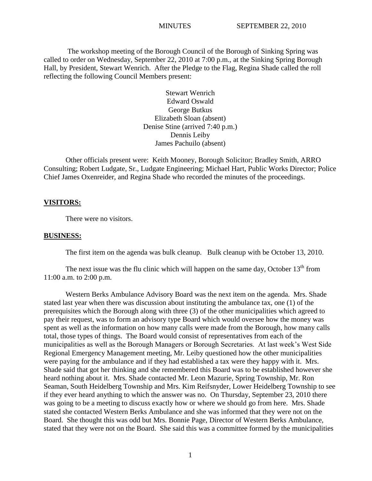The workshop meeting of the Borough Council of the Borough of Sinking Spring was called to order on Wednesday, September 22, 2010 at 7:00 p.m., at the Sinking Spring Borough Hall, by President, Stewart Wenrich. After the Pledge to the Flag, Regina Shade called the roll reflecting the following Council Members present:

> Stewart Wenrich Edward Oswald George Butkus Elizabeth Sloan (absent) Denise Stine (arrived 7:40 p.m.) Dennis Leiby James Pachuilo (absent)

Other officials present were: Keith Mooney, Borough Solicitor; Bradley Smith, ARRO Consulting; Robert Ludgate, Sr., Ludgate Engineering; Michael Hart, Public Works Director; Police Chief James Oxenreider, and Regina Shade who recorded the minutes of the proceedings.

### **VISITORS:**

There were no visitors.

#### **BUSINESS:**

The first item on the agenda was bulk cleanup. Bulk cleanup with be October 13, 2010.

The next issue was the flu clinic which will happen on the same day, October  $13<sup>th</sup>$  from 11:00 a.m. to 2:00 p.m.

Western Berks Ambulance Advisory Board was the next item on the agenda. Mrs. Shade stated last year when there was discussion about instituting the ambulance tax, one (1) of the prerequisites which the Borough along with three (3) of the other municipalities which agreed to pay their request, was to form an advisory type Board which would oversee how the money was spent as well as the information on how many calls were made from the Borough, how many calls total, those types of things. The Board would consist of representatives from each of the municipalities as well as the Borough Managers or Borough Secretaries. At last week's West Side Regional Emergency Management meeting, Mr. Leiby questioned how the other municipalities were paying for the ambulance and if they had established a tax were they happy with it. Mrs. Shade said that got her thinking and she remembered this Board was to be established however she heard nothing about it. Mrs. Shade contacted Mr. Leon Mazurie, Spring Township, Mr. Ron Seaman, South Heidelberg Township and Mrs. Kim Reifsnyder, Lower Heidelberg Township to see if they ever heard anything to which the answer was no. On Thursday, September 23, 2010 there was going to be a meeting to discuss exactly how or where we should go from here. Mrs. Shade stated she contacted Western Berks Ambulance and she was informed that they were not on the Board. She thought this was odd but Mrs. Bonnie Page, Director of Western Berks Ambulance, stated that they were not on the Board. She said this was a committee formed by the municipalities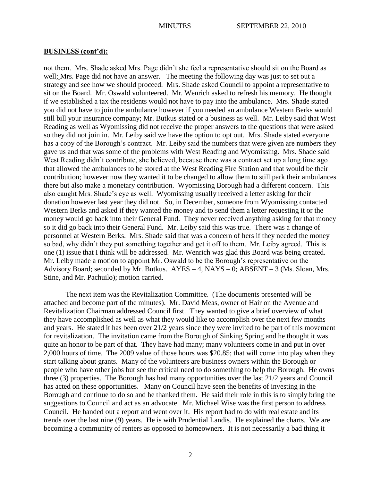not them. Mrs. Shade asked Mrs. Page didn't she feel a representative should sit on the Board as well; Mrs. Page did not have an answer. The meeting the following day was just to set out a strategy and see how we should proceed. Mrs. Shade asked Council to appoint a representative to sit on the Board. Mr. Oswald volunteered. Mr. Wenrich asked to refresh his memory. He thought if we established a tax the residents would not have to pay into the ambulance. Mrs. Shade stated you did not have to join the ambulance however if you needed an ambulance Western Berks would still bill your insurance company; Mr. Butkus stated or a business as well. Mr. Leiby said that West Reading as well as Wyomissing did not receive the proper answers to the questions that were asked so they did not join in. Mr. Leiby said we have the option to opt out. Mrs. Shade stated everyone has a copy of the Borough's contract. Mr. Leiby said the numbers that were given are numbers they gave us and that was some of the problems with West Reading and Wyomissing. Mrs. Shade said West Reading didn't contribute, she believed, because there was a contract set up a long time ago that allowed the ambulances to be stored at the West Reading Fire Station and that would be their contribution; however now they wanted it to be changed to allow them to still park their ambulances there but also make a monetary contribution. Wyomissing Borough had a different concern. This also caught Mrs. Shade's eye as well. Wyomissing usually received a letter asking for their donation however last year they did not. So, in December, someone from Wyomissing contacted Western Berks and asked if they wanted the money and to send them a letter requesting it or the money would go back into their General Fund. They never received anything asking for that money so it did go back into their General Fund. Mr. Leiby said this was true. There was a change of personnel at Western Berks. Mrs. Shade said that was a concern of hers if they needed the money so bad, why didn't they put something together and get it off to them. Mr. Leiby agreed. This is one (1) issue that I think will be addressed. Mr. Wenrich was glad this Board was being created. Mr. Leiby made a motion to appoint Mr. Oswald to be the Borough's representative on the Advisory Board; seconded by Mr. Butkus. AYES – 4, NAYS – 0; ABSENT – 3 (Ms. Sloan, Mrs. Stine, and Mr. Pachuilo); motion carried.

The next item was the Revitalization Committee. (The documents presented will be attached and become part of the minutes). Mr. David Meas, owner of Hair on the Avenue and Revitalization Chairman addressed Council first. They wanted to give a brief overview of what they have accomplished as well as what they would like to accomplish over the next few months and years. He stated it has been over 21/2 years since they were invited to be part of this movement for revitalization. The invitation came from the Borough of Sinking Spring and he thought it was quite an honor to be part of that. They have had many; many volunteers come in and put in over 2,000 hours of time. The 2009 value of those hours was \$20.85; that will come into play when they start talking about grants. Many of the volunteers are business owners within the Borough or people who have other jobs but see the critical need to do something to help the Borough. He owns three (3) properties. The Borough has had many opportunities over the last 21/2 years and Council has acted on these opportunities. Many on Council have seen the benefits of investing in the Borough and continue to do so and he thanked them. He said their role in this is to simply bring the suggestions to Council and act as an advocate. Mr. Michael Wise was the first person to address Council. He handed out a report and went over it. His report had to do with real estate and its trends over the last nine (9) years. He is with Prudential Landis. He explained the charts. We are becoming a community of renters as opposed to homeowners. It is not necessarily a bad thing it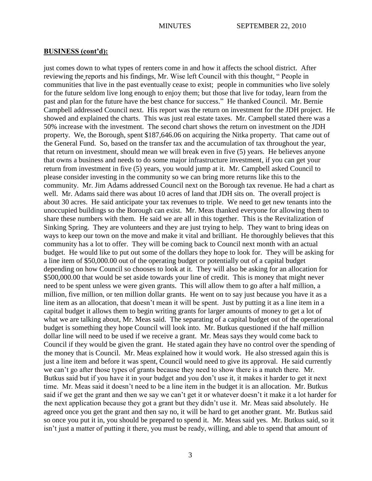just comes down to what types of renters come in and how it affects the school district. After reviewing the reports and his findings, Mr. Wise left Council with this thought, " People in communities that live in the past eventually cease to exist; people in communities who live solely for the future seldom live long enough to enjoy them; but those that live for today, learn from the past and plan for the future have the best chance for success." He thanked Council. Mr. Bernie Campbell addressed Council next. His report was the return on investment for the JDH project. He showed and explained the charts. This was just real estate taxes. Mr. Campbell stated there was a 50% increase with the investment. The second chart shows the return on investment on the JDH property. We, the Borough, spent \$187,646.06 on acquiring the Nitka property. That came out of the General Fund. So, based on the transfer tax and the accumulation of tax throughout the year, that return on investment, should mean we will break even in five (5) years. He believes anyone that owns a business and needs to do some major infrastructure investment, if you can get your return from investment in five (5) years, you would jump at it. Mr. Campbell asked Council to please consider investing in the community so we can bring more returns like this to the community. Mr. Jim Adams addressed Council next on the Borough tax revenue. He had a chart as well. Mr. Adams said there was about 10 acres of land that JDH sits on. The overall project is about 30 acres. He said anticipate your tax revenues to triple. We need to get new tenants into the unoccupied buildings so the Borough can exist. Mr. Meas thanked everyone for allowing them to share these numbers with them. He said we are all in this together. This is the Revitalization of Sinking Spring. They are volunteers and they are just trying to help. They want to bring ideas on ways to keep our town on the move and make it vital and brilliant. He thoroughly believes that this community has a lot to offer. They will be coming back to Council next month with an actual budget. He would like to put out some of the dollars they hope to look for. They will be asking for a line item of \$50,000.00 out of the operating budget or potentially out of a capital budget depending on how Council so chooses to look at it. They will also be asking for an allocation for \$500,000.00 that would be set aside towards your line of credit. This is money that might never need to be spent unless we were given grants. This will allow them to go after a half million, a million, five million, or ten million dollar grants. He went on to say just because you have it as a line item as an allocation, that doesn't mean it will be spent. Just by putting it as a line item in a capital budget it allows them to begin writing grants for larger amounts of money to get a lot of what we are talking about, Mr. Meas said. The separating of a capital budget out of the operational budget is something they hope Council will look into. Mr. Butkus questioned if the half million dollar line will need to be used if we receive a grant. Mr. Meas says they would come back to Council if they would be given the grant. He stated again they have no control over the spending of the money that is Council. Mr. Meas explained how it would work. He also stressed again this is just a line item and before it was spent, Council would need to give its approval. He said currently we can't go after those types of grants because they need to show there is a match there. Mr. Butkus said but if you have it in your budget and you don't use it, it makes it harder to get it next time. Mr. Meas said it doesn't need to be a line item in the budget it is an allocation. Mr. Butkus said if we get the grant and then we say we can't get it or whatever doesn't it make it a lot harder for the next application because they got a grant but they didn't use it. Mr. Meas said absolutely. He agreed once you get the grant and then say no, it will be hard to get another grant. Mr. Butkus said so once you put it in, you should be prepared to spend it. Mr. Meas said yes. Mr. Butkus said, so it isn't just a matter of putting it there, you must be ready, willing, and able to spend that amount of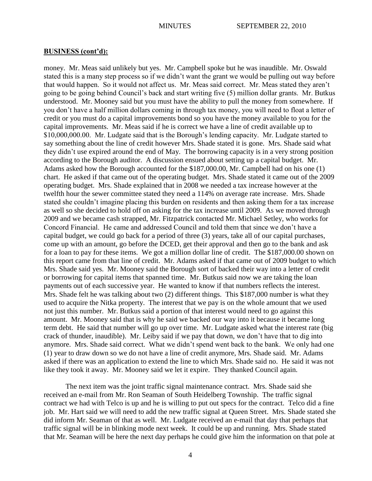money. Mr. Meas said unlikely but yes. Mr. Campbell spoke but he was inaudible. Mr. Oswald stated this is a many step process so if we didn't want the grant we would be pulling out way before that would happen. So it would not affect us. Mr. Meas said correct. Mr. Meas stated they aren't going to be going behind Council's back and start writing five (5) million dollar grants. Mr. Butkus understood. Mr. Mooney said but you must have the ability to pull the money from somewhere. If you don't have a half million dollars coming in through tax money, you will need to float a letter of credit or you must do a capital improvements bond so you have the money available to you for the capital improvements. Mr. Meas said if he is correct we have a line of credit available up to \$10,000,000.00. Mr. Ludgate said that is the Borough's lending capacity. Mr. Ludgate started to say something about the line of credit however Mrs. Shade stated it is gone. Mrs. Shade said what they didn't use expired around the end of May. The borrowing capacity is in a very strong position according to the Borough auditor. A discussion ensued about setting up a capital budget. Mr. Adams asked how the Borough accounted for the \$187,000.00, Mr. Campbell had on his one (1) chart. He asked if that came out of the operating budget. Mrs. Shade stated it came out of the 2009 operating budget. Mrs. Shade explained that in 2008 we needed a tax increase however at the twelfth hour the sewer committee stated they need a 114% on average rate increase. Mrs. Shade stated she couldn't imagine placing this burden on residents and then asking them for a tax increase as well so she decided to hold off on asking for the tax increase until 2009. As we moved through 2009 and we became cash strapped, Mr. Fitzpatrick contacted Mr. Michael Setley, who works for Concord Financial. He came and addressed Council and told them that since we don't have a capital budget, we could go back for a period of three (3) years, take all of our capital purchases, come up with an amount, go before the DCED, get their approval and then go to the bank and ask for a loan to pay for these items. We got a million dollar line of credit. The \$187,000.00 shown on this report came from that line of credit. Mr. Adams asked if that came out of 2009 budget to which Mrs. Shade said yes. Mr. Mooney said the Borough sort of backed their way into a letter of credit or borrowing for capital items that spanned time. Mr. Butkus said now we are taking the loan payments out of each successive year. He wanted to know if that numbers reflects the interest. Mrs. Shade felt he was talking about two (2) different things. This \$187,000 number is what they used to acquire the Nitka property. The interest that we pay is on the whole amount that we used not just this number. Mr. Butkus said a portion of that interest would need to go against this amount. Mr. Mooney said that is why he said we backed our way into it because it became long term debt. He said that number will go up over time. Mr. Ludgate asked what the interest rate (big crack of thunder, inaudible). Mr. Leiby said if we pay that down, we don't have that to dig into anymore. Mrs. Shade said correct. What we didn't spend went back to the bank. We only had one (1) year to draw down so we do not have a line of credit anymore, Mrs. Shade said. Mr. Adams asked if there was an application to extend the line to which Mrs. Shade said no. He said it was not like they took it away. Mr. Mooney said we let it expire. They thanked Council again.

The next item was the joint traffic signal maintenance contract. Mrs. Shade said she received an e-mail from Mr. Ron Seaman of South Heidelberg Township. The traffic signal contract we had with Telco is up and he is willing to put out specs for the contract. Telco did a fine job. Mr. Hart said we will need to add the new traffic signal at Queen Street. Mrs. Shade stated she did inform Mr. Seaman of that as well. Mr. Ludgate received an e-mail that day that perhaps that traffic signal will be in blinking mode next week. It could be up and running. Mrs. Shade stated that Mr. Seaman will be here the next day perhaps he could give him the information on that pole at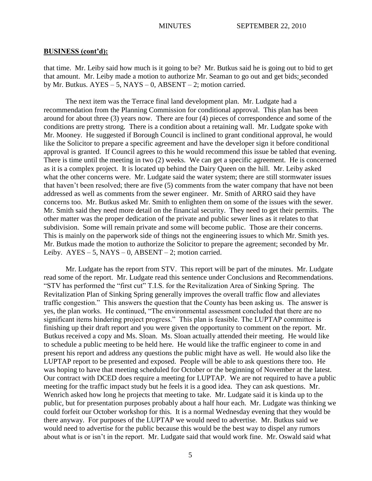that time. Mr. Leiby said how much is it going to be? Mr. Butkus said he is going out to bid to get that amount. Mr. Leiby made a motion to authorize Mr. Seaman to go out and get bids; seconded by Mr. Butkus.  $AYES - 5$ ,  $NAYS - 0$ ,  $ABSENT - 2$ ; motion carried.

The next item was the Terrace final land development plan. Mr. Ludgate had a recommendation from the Planning Commission for conditional approval. This plan has been around for about three (3) years now. There are four (4) pieces of correspondence and some of the conditions are pretty strong. There is a condition about a retaining wall. Mr. Ludgate spoke with Mr. Mooney. He suggested if Borough Council is inclined to grant conditional approval, he would like the Solicitor to prepare a specific agreement and have the developer sign it before conditional approval is granted. If Council agrees to this he would recommend this issue be tabled that evening. There is time until the meeting in two (2) weeks. We can get a specific agreement. He is concerned as it is a complex project. It is located up behind the Dairy Queen on the hill. Mr. Leiby asked what the other concerns were. Mr. Ludgate said the water system; there are still stormwater issues that haven't been resolved; there are five (5) comments from the water company that have not been addressed as well as comments from the sewer engineer. Mr. Smith of ARRO said they have concerns too. Mr. Butkus asked Mr. Smith to enlighten them on some of the issues with the sewer. Mr. Smith said they need more detail on the financial security. They need to get their permits. The other matter was the proper dedication of the private and public sewer lines as it relates to that subdivision. Some will remain private and some will become public. Those are their concerns. This is mainly on the paperwork side of things not the engineering issues to which Mr. Smith yes. Mr. Butkus made the motion to authorize the Solicitor to prepare the agreement; seconded by Mr. Leiby.  $AYES - 5$ ,  $NAYS - 0$ ,  $ABSENT - 2$ ; motion carried.

Mr. Ludgate has the report from STV. This report will be part of the minutes. Mr. Ludgate read some of the report. Mr. Ludgate read this sentence under Conclusions and Recommendations. "STV has performed the "first cut" T.I.S. for the Revitalization Area of Sinking Spring. The Revitalization Plan of Sinking Spring generally improves the overall traffic flow and alleviates traffic congestion." This answers the question that the County has been asking us. The answer is yes, the plan works. He continued, "The environmental assessment concluded that there are no significant items hindering project progress." This plan is feasible. The LUPTAP committee is finishing up their draft report and you were given the opportunity to comment on the report. Mr. Butkus received a copy and Ms. Sloan. Ms. Sloan actually attended their meeting. He would like to schedule a public meeting to be held here. He would like the traffic engineer to come in and present his report and address any questions the public might have as well. He would also like the LUPTAP report to be presented and exposed. People will be able to ask questions there too. He was hoping to have that meeting scheduled for October or the beginning of November at the latest. Our contract with DCED does require a meeting for LUPTAP. We are not required to have a public meeting for the traffic impact study but he feels it is a good idea. They can ask questions. Mr. Wenrich asked how long he projects that meeting to take. Mr. Ludgate said it is kinda up to the public, but for presentation purposes probably about a half hour each. Mr. Ludgate was thinking we could forfeit our October workshop for this. It is a normal Wednesday evening that they would be there anyway. For purposes of the LUPTAP we would need to advertise. Mr. Butkus said we would need to advertise for the public because this would be the best way to dispel any rumors about what is or isn't in the report. Mr. Ludgate said that would work fine. Mr. Oswald said what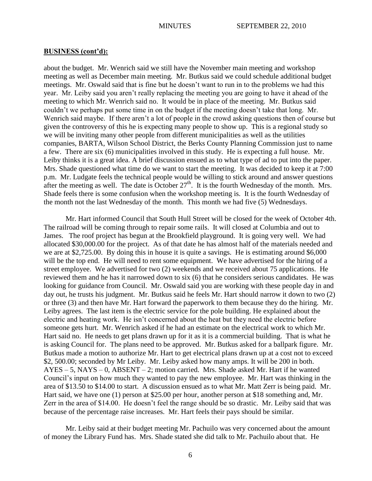about the budget. Mr. Wenrich said we still have the November main meeting and workshop meeting as well as December main meeting. Mr. Butkus said we could schedule additional budget meetings. Mr. Oswald said that is fine but he doesn't want to run in to the problems we had this year. Mr. Leiby said you aren't really replacing the meeting you are going to have it ahead of the meeting to which Mr. Wenrich said no. It would be in place of the meeting. Mr. Butkus said couldn't we perhaps put some time in on the budget if the meeting doesn't take that long. Mr. Wenrich said maybe. If there aren't a lot of people in the crowd asking questions then of course but given the controversy of this he is expecting many people to show up. This is a regional study so we will be inviting many other people from different municipalities as well as the utilities companies, BARTA, Wilson School District, the Berks County Planning Commission just to name a few. There are six (6) municipalities involved in this study. He is expecting a full house. Mr. Leiby thinks it is a great idea. A brief discussion ensued as to what type of ad to put into the paper. Mrs. Shade questioned what time do we want to start the meeting. It was decided to keep it at 7:00 p.m. Mr. Ludgate feels the technical people would be willing to stick around and answer questions after the meeting as well. The date is October  $27<sup>th</sup>$ . It is the fourth Wednesday of the month. Mrs. Shade feels there is some confusion when the workshop meeting is. It is the fourth Wednesday of the month not the last Wednesday of the month. This month we had five (5) Wednesdays.

Mr. Hart informed Council that South Hull Street will be closed for the week of October 4th. The railroad will be coming through to repair some rails. It will closed at Columbia and out to James. The roof project has begun at the Brookfield playground. It is going very well. We had allocated \$30,000.00 for the project. As of that date he has almost half of the materials needed and we are at \$2,725.00. By doing this in house it is quite a savings. He is estimating around \$6,000 will be the top end. He will need to rent some equipment. We have advertised for the hiring of a street employee. We advertised for two (2) weekends and we received about 75 applications. He reviewed them and he has it narrowed down to six (6) that he considers serious candidates. He was looking for guidance from Council. Mr. Oswald said you are working with these people day in and day out, he trusts his judgment. Mr. Butkus said he feels Mr. Hart should narrow it down to two (2) or three (3) and then have Mr. Hart forward the paperwork to them because they do the hiring. Mr. Leiby agrees. The last item is the electric service for the pole building. He explained about the electric and heating work. He isn't concerned about the heat but they need the electric before someone gets hurt. Mr. Wenrich asked if he had an estimate on the electrical work to which Mr. Hart said no. He needs to get plans drawn up for it as it is a commercial building. That is what he is asking Council for. The plans need to be approved. Mr. Butkus asked for a ballpark figure. Mr. Butkus made a motion to authorize Mr. Hart to get electrical plans drawn up at a cost not to exceed \$2, 500.00; seconded by Mr Leiby. Mr. Leiby asked how many amps. It will be 200 in both. AYES – 5, NAYS – 0, ABSENT – 2; motion carried. Mrs. Shade asked Mr. Hart if he wanted Council's input on how much they wanted to pay the new employee. Mr. Hart was thinking in the area of \$13.50 to \$14.00 to start. A discussion ensued as to what Mr. Matt Zerr is being paid. Mr. Hart said, we have one (1) person at \$25.00 per hour, another person at \$18 something and, Mr. Zerr in the area of \$14.00. He doesn't feel the range should be so drastic. Mr. Leiby said that was because of the percentage raise increases. Mr. Hart feels their pays should be similar.

Mr. Leiby said at their budget meeting Mr. Pachuilo was very concerned about the amount of money the Library Fund has. Mrs. Shade stated she did talk to Mr. Pachuilo about that. He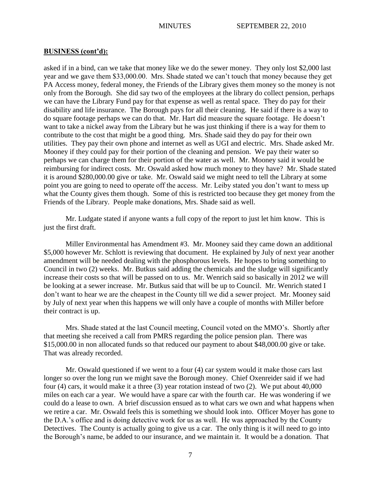asked if in a bind, can we take that money like we do the sewer money. They only lost \$2,000 last year and we gave them \$33,000.00. Mrs. Shade stated we can't touch that money because they get PA Access money, federal money, the Friends of the Library gives them money so the money is not only from the Borough. She did say two of the employees at the library do collect pension, perhaps we can have the Library Fund pay for that expense as well as rental space. They do pay for their disability and life insurance. The Borough pays for all their cleaning. He said if there is a way to do square footage perhaps we can do that. Mr. Hart did measure the square footage. He doesn't want to take a nickel away from the Library but he was just thinking if there is a way for them to contribute to the cost that might be a good thing. Mrs. Shade said they do pay for their own utilities. They pay their own phone and internet as well as UGI and electric. Mrs. Shade asked Mr. Mooney if they could pay for their portion of the cleaning and pension. We pay their water so perhaps we can charge them for their portion of the water as well. Mr. Mooney said it would be reimbursing for indirect costs. Mr. Oswald asked how much money to they have? Mr. Shade stated it is around \$280,000.00 give or take. Mr. Oswald said we might need to tell the Library at some point you are going to need to operate off the access. Mr. Leiby stated you don't want to mess up what the County gives them though. Some of this is restricted too because they get money from the Friends of the Library. People make donations, Mrs. Shade said as well.

Mr. Ludgate stated if anyone wants a full copy of the report to just let him know. This is just the first draft.

Miller Environmental has Amendment #3. Mr. Mooney said they came down an additional \$5,000 however Mr. Schlott is reviewing that document. He explained by July of next year another amendment will be needed dealing with the phosphorous levels. He hopes to bring something to Council in two (2) weeks. Mr. Butkus said adding the chemicals and the sludge will significantly increase their costs so that will be passed on to us. Mr. Wenrich said so basically in 2012 we will be looking at a sewer increase. Mr. Butkus said that will be up to Council. Mr. Wenrich stated I don't want to hear we are the cheapest in the County till we did a sewer project. Mr. Mooney said by July of next year when this happens we will only have a couple of months with Miller before their contract is up.

Mrs. Shade stated at the last Council meeting, Council voted on the MMO's. Shortly after that meeting she received a call from PMRS regarding the police pension plan. There was \$15,000.00 in non allocated funds so that reduced our payment to about \$48,000.00 give or take. That was already recorded.

Mr. Oswald questioned if we went to a four (4) car system would it make those cars last longer so over the long run we might save the Borough money. Chief Oxenreider said if we had four (4) cars, it would make it a three (3) year rotation instead of two (2). We put about 40,000 miles on each car a year. We would have a spare car with the fourth car. He was wondering if we could do a lease to own. A brief discussion ensued as to what cars we own and what happens when we retire a car. Mr. Oswald feels this is something we should look into. Officer Moyer has gone to the D.A.'s office and is doing detective work for us as well. He was approached by the County Detectives. The County is actually going to give us a car. The only thing is it will need to go into the Borough's name, be added to our insurance, and we maintain it. It would be a donation. That